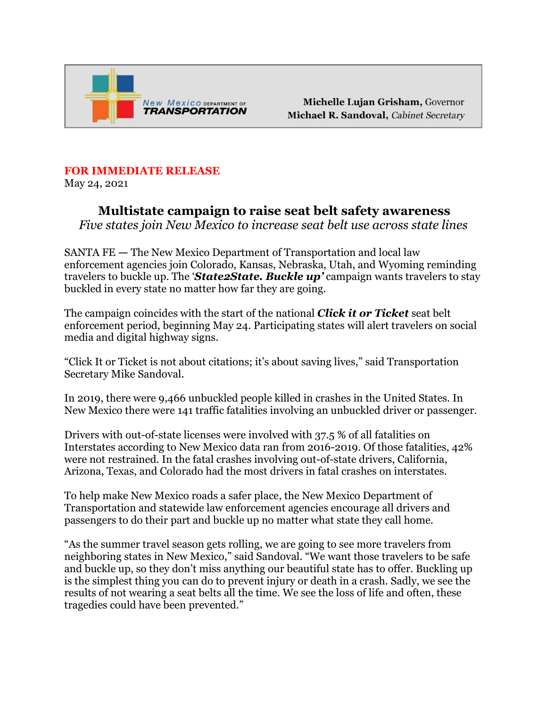

Michelle Lujan Grisham, Governor Michael R. Sandoval, Cabinet Secretary

## **FOR IMMEDIATE RELEASE**

May 24, 2021

## **Multistate campaign to raise seat belt safety awareness**

*Five states join New Mexico to increase seat belt use across state lines* 

SANTA FE **—** The New Mexico Department of Transportation and local law enforcement agencies join Colorado, Kansas, Nebraska, Utah, and Wyoming reminding travelers to buckle up. The '*State2State. Buckle up'* campaign wants travelers to stay buckled in every state no matter how far they are going.

The campaign coincides with the start of the national *Click it or Ticket* seat belt enforcement period, beginning May 24. Participating states will alert travelers on social media and digital highway signs.

"Click It or Ticket is not about citations; it's about saving lives," said Transportation Secretary Mike Sandoval.

In 2019, there were 9,466 unbuckled people killed in crashes in the United States. In New Mexico there were 141 traffic fatalities involving an unbuckled driver or passenger.

Drivers with out-of-state licenses were involved with 37.5 % of all fatalities on Interstates according to New Mexico data ran from 2016-2019. Of those fatalities, 42% were not restrained. In the fatal crashes involving out-of-state drivers, California, Arizona, Texas, and Colorado had the most drivers in fatal crashes on interstates.

To help make New Mexico roads a safer place, the New Mexico Department of Transportation and statewide law enforcement agencies encourage all drivers and passengers to do their part and buckle up no matter what state they call home.

"As the summer travel season gets rolling, we are going to see more travelers from neighboring states in New Mexico," said Sandoval. "We want those travelers to be safe and buckle up, so they don't miss anything our beautiful state has to offer. Buckling up is the simplest thing you can do to prevent injury or death in a crash. Sadly, we see the results of not wearing a seat belts all the time. We see the loss of life and often, these tragedies could have been prevented."